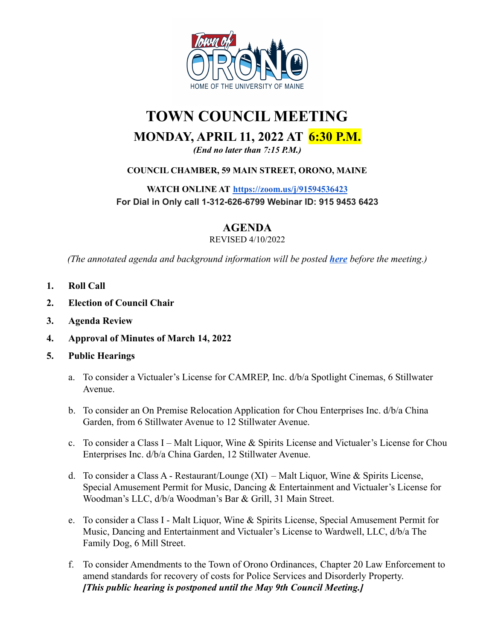

# **TOWN COUNCIL MEETING MONDAY, APRIL 11, 2022 AT 6:30 P.M.** *(End no later than 7:15 P.M.)*

**COUNCIL CHAMBER, 59 MAIN STREET, ORONO, MAINE**

**WATCH ONLINE AT <https://zoom.us/j/91594536423> For Dial in Only call 1-312-626-6799 Webinar ID: 915 9453 6423**

# **AGENDA**

#### REVISED 4/10/2022

*(The annotated agenda and background information will be posted [here](https://drive.google.com/drive/folders/1XbvOIMQXU0VtV3UgOhC2jDtHAm9vKktV) before the meeting.)*

- **1. Roll Call**
- **2. Election of Council Chair**
- **3. Agenda Review**
- **4. Approval of Minutes of March 14, 2022**
- **5. Public Hearings**
	- a. To consider a Victualer's License for CAMREP, Inc. d/b/a Spotlight Cinemas, 6 Stillwater Avenue.
	- b. To consider an On Premise Relocation Application for Chou Enterprises Inc. d/b/a China Garden, from 6 Stillwater Avenue to 12 Stillwater Avenue.
	- c. To consider a Class I Malt Liquor, Wine & Spirits License and Victualer's License for Chou Enterprises Inc. d/b/a China Garden, 12 Stillwater Avenue.
	- d. To consider a Class A Restaurant/Lounge (XI) Malt Liquor, Wine & Spirits License, Special Amusement Permit for Music, Dancing & Entertainment and Victualer's License for Woodman's LLC, d/b/a Woodman's Bar & Grill, 31 Main Street.
	- e. To consider a Class I Malt Liquor, Wine & Spirits License, Special Amusement Permit for Music, Dancing and Entertainment and Victualer's License to Wardwell, LLC, d/b/a The Family Dog, 6 Mill Street.
	- f. To consider Amendments to the Town of Orono Ordinances, Chapter 20 Law Enforcement to amend standards for recovery of costs for Police Services and Disorderly Property. *[This public hearing is postponed until the May 9th Council Meeting.]*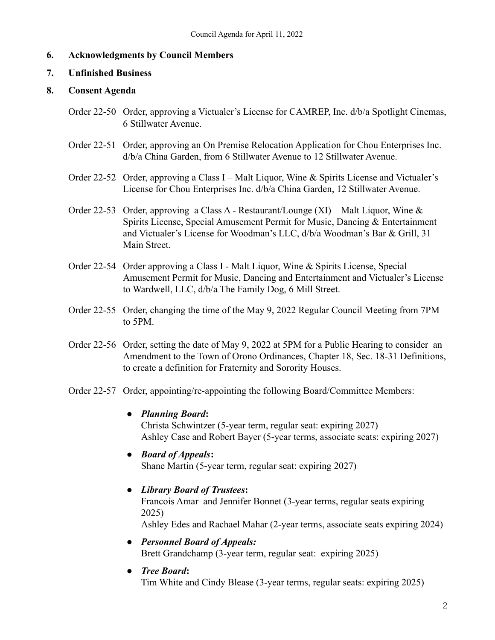# **6. Acknowledgments by Council Members**

#### **7. Unfinished Business**

# **8. Consent Agenda**

- Order 22-50 Order, approving a Victualer's License for CAMREP, Inc. d/b/a Spotlight Cinemas, 6 Stillwater Avenue.
- Order 22-51 Order, approving an On Premise Relocation Application for Chou Enterprises Inc. d/b/a China Garden, from 6 Stillwater Avenue to 12 Stillwater Avenue.
- Order 22-52 Order, approving a Class I Malt Liquor, Wine & Spirits License and Victualer's License for Chou Enterprises Inc. d/b/a China Garden, 12 Stillwater Avenue.
- Order 22-53 Order, approving a Class A Restaurant/Lounge (XI) Malt Liquor, Wine & Spirits License, Special Amusement Permit for Music, Dancing & Entertainment and Victualer's License for Woodman's LLC, d/b/a Woodman's Bar & Grill, 31 Main Street.
- Order 22-54 Order approving a Class I Malt Liquor, Wine & Spirits License, Special Amusement Permit for Music, Dancing and Entertainment and Victualer's License to Wardwell, LLC, d/b/a The Family Dog, 6 Mill Street.
- Order 22-55 Order, changing the time of the May 9, 2022 Regular Council Meeting from 7PM to 5PM.
- Order 22-56 Order, setting the date of May 9, 2022 at 5PM for a Public Hearing to consider an Amendment to the Town of Orono Ordinances, Chapter 18, Sec. 18-31 Definitions, to create a definition for Fraternity and Sorority Houses.
- Order 22-57 Order, appointing/re-appointing the following Board/Committee Members:
	- **●** *Planning Board***:** Christa Schwintzer (5-year term, regular seat: expiring 2027) Ashley Case and Robert Bayer (5-year terms, associate seats: expiring 2027)
	- **●** *Board of Appeals***:** Shane Martin (5-year term, regular seat: expiring 2027)
	- **●** *Library Board of Trustees***:** Francois Amar and Jennifer Bonnet (3-year terms, regular seats expiring 2025) Ashley Edes and Rachael Mahar (2-year terms, associate seats expiring 2024)
	- **●** *Personnel Board of Appeals:* Brett Grandchamp (3-year term, regular seat: expiring 2025)
	- **●** *Tree Board***:** Tim White and Cindy Blease (3-year terms, regular seats: expiring 2025)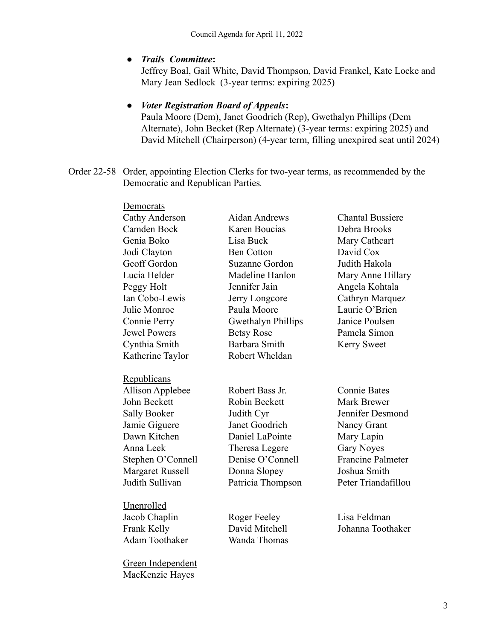#### **●** *Trails Committee***:**

Jeffrey Boal, Gail White, David Thompson, David Frankel, Kate Locke and Mary Jean Sedlock (3-year terms: expiring 2025)

# **●** *Voter Registration Board of Appeals***:**

Paula Moore (Dem), Janet Goodrich (Rep), Gwethalyn Phillips (Dem Alternate), John Becket (Rep Alternate) (3-year terms: expiring 2025) and David Mitchell (Chairperson) (4-year term, filling unexpired seat until 2024)

Order 22-58 Order, appointing Election Clerks for two-year terms, as recommended by the Democratic and Republican Parties*.*

| Democrats               |                      |                          |
|-------------------------|----------------------|--------------------------|
| Cathy Anderson          | <b>Aidan Andrews</b> | <b>Chantal Bussiere</b>  |
| Camden Bock             | Karen Boucias        | Debra Brooks             |
| Genia Boko              | Lisa Buck            | Mary Cathcart            |
| Jodi Clayton            | <b>Ben Cotton</b>    | David Cox                |
| Geoff Gordon            | Suzanne Gordon       | Judith Hakola            |
| Lucia Helder            | Madeline Hanlon      | Mary Anne Hillary        |
| Peggy Holt              | Jennifer Jain        | Angela Kohtala           |
| Ian Cobo-Lewis          | Jerry Longcore       | Cathryn Marquez          |
| Julie Monroe            | Paula Moore          | Laurie O'Brien           |
| Connie Perry            | Gwethalyn Phillips   | Janice Poulsen           |
| <b>Jewel Powers</b>     | <b>Betsy Rose</b>    | Pamela Simon             |
| Cynthia Smith           | <b>Barbara Smith</b> | <b>Kerry Sweet</b>       |
| Katherine Taylor        | Robert Wheldan       |                          |
| Republicans             |                      |                          |
| <b>Allison Applebee</b> | Robert Bass Jr.      | <b>Connie Bates</b>      |
| John Beckett            | Robin Beckett        | <b>Mark Brewer</b>       |
| <b>Sally Booker</b>     | Judith Cyr           | Jennifer Desmond         |
| Jamie Giguere           | Janet Goodrich       | Nancy Grant              |
| Dawn Kitchen            | Daniel LaPointe      | Mary Lapin               |
| Anna Leek               | Theresa Legere       | <b>Gary Noyes</b>        |
| Stephen O'Connell       | Denise O'Connell     | <b>Francine Palmeter</b> |
| <b>Margaret Russell</b> | Donna Slopey         | Joshua Smith             |
| Judith Sullivan         | Patricia Thompson    | Peter Triandafillou      |
| Unenrolled              |                      |                          |
| Jacob Chaplin           | Roger Feeley         | Lisa Feldman             |
| Frank Kelly             | David Mitchell       | Johanna Toothaker        |
| <b>Adam Toothaker</b>   | Wanda Thomas         |                          |
| Green Independent       |                      |                          |
| MacKenzie Hayes         |                      |                          |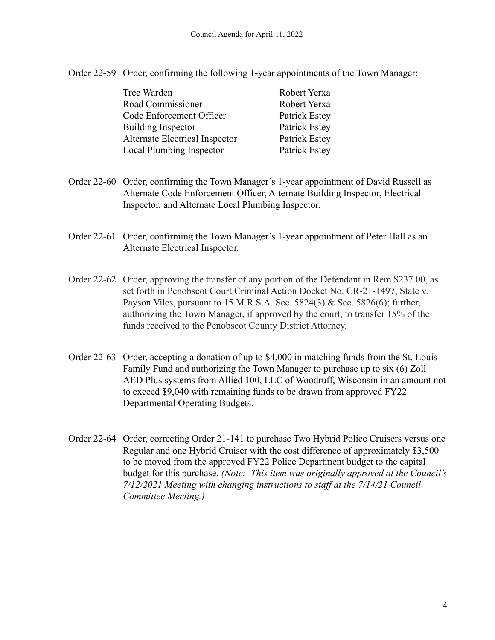Order 22-59 Order, confirming the following 1-year appointments of the Town Manager:

| Robert Yerxa  |
|---------------|
| Robert Yerxa  |
| Patrick Estey |
| Patrick Estey |
| Patrick Estey |
| Patrick Estey |
|               |

- Order 22-60 Order, confirming the Town Manager's 1-year appointment of David Russell as Alternate Code Enforcement Officer, Alternate Building Inspector, Electrical Inspector, and Alternate Local Plumbing Inspector.
- Order 22-61 Order, confirming the Town Manager's 1-year appointment of Peter Hall as an Alternate Electrical Inspector.
- Order 22-62 Order, approving the transfer of any portion of the Defendant in Rem \$237.00, as set forth in Penobscot Court Criminal Action Docket No. CR-21-1497, State v. Payson Viles, pursuant to 15 M.R.S.A. Sec. 5824(3) & Sec. 5826(6); further, authorizing the Town Manager, if approved by the court, to transfer 15% of the funds received to the Penobscot County District Attorney.
- Order 22-63 Order, accepting a donation of up to \$4,000 in matching funds from the St. Louis Family Fund and authorizing the Town Manager to purchase up to six (6) Zoll AED Plus systems from Allied 100, LLC of Woodruff, Wisconsin in an amount not to exceed \$9,040 with remaining funds to be drawn from approved FY22 Departmental Operating Budgets.
- Order 22-64 Order, correcting Order 21-141 to purchase Two Hybrid Police Cruisers versus one Regular and one Hybrid Cruiser with the cost difference of approximately \$3,500 to be moved from the approved FY22 Police Department budget to the capital budget for this purchase. *(Note: This item was originally approved at the Council's 7/12/2021 Meeting with changing instructions to staff at the 7/14/21 Council Committee Meeting.)*